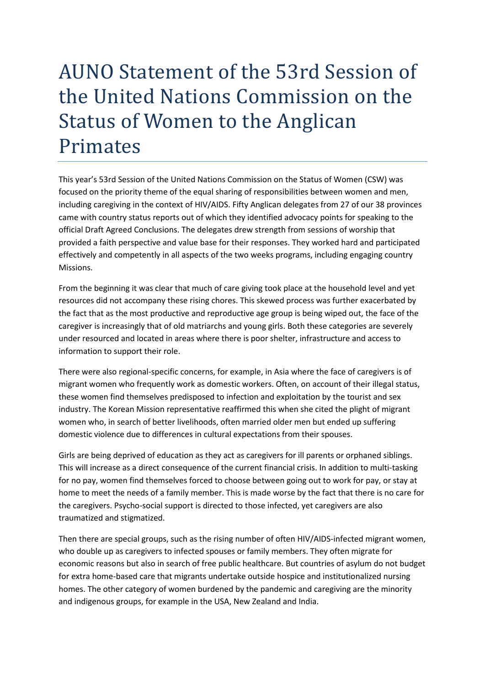## AUNO Statement of the 53rd Session of the United Nations Commission on the Status of Women to the Anglican Primates

This year's 53rd Session of the United Nations Commission on the Status of Women (CSW) was focused on the priority theme of the equal sharing of responsibilities between women and men, including caregiving in the context of HIV/AIDS. Fifty Anglican delegates from 27 of our 38 provinces came with country status reports out of which they identified advocacy points for speaking to the official Draft Agreed Conclusions. The delegates drew strength from sessions of worship that provided a faith perspective and value base for their responses. They worked hard and participated effectively and competently in all aspects of the two weeks programs, including engaging country Missions.

From the beginning it was clear that much of care giving took place at the household level and yet resources did not accompany these rising chores. This skewed process was further exacerbated by the fact that as the most productive and reproductive age group is being wiped out, the face of the caregiver is increasingly that of old matriarchs and young girls. Both these categories are severely under resourced and located in areas where there is poor shelter, infrastructure and access to information to support their role.

There were also regional-specific concerns, for example, in Asia where the face of caregivers is of migrant women who frequently work as domestic workers. Often, on account of their illegal status, these women find themselves predisposed to infection and exploitation by the tourist and sex industry. The Korean Mission representative reaffirmed this when she cited the plight of migrant women who, in search of better livelihoods, often married older men but ended up suffering domestic violence due to differences in cultural expectations from their spouses.

Girls are being deprived of education as they act as caregivers for ill parents or orphaned siblings. This will increase as a direct consequence of the current financial crisis. In addition to multi-tasking for no pay, women find themselves forced to choose between going out to work for pay, or stay at home to meet the needs of a family member. This is made worse by the fact that there is no care for the caregivers. Psycho-social support is directed to those infected, yet caregivers are also traumatized and stigmatized.

Then there are special groups, such as the rising number of often HIV/AIDS-infected migrant women, who double up as caregivers to infected spouses or family members. They often migrate for economic reasons but also in search of free public healthcare. But countries of asylum do not budget for extra home-based care that migrants undertake outside hospice and institutionalized nursing homes. The other category of women burdened by the pandemic and caregiving are the minority and indigenous groups, for example in the USA, New Zealand and India.